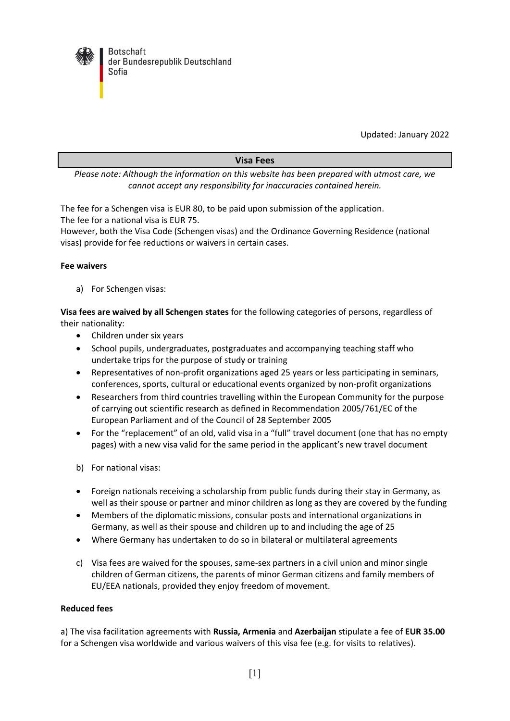

Updated: January 2022

## **Visa Fees**

*Please note: Although the information on this website has been prepared with utmost care, we cannot accept any responsibility for inaccuracies contained herein.*

The fee for a Schengen visa is EUR 80, to be paid upon submission of the application. The fee for a national visa is EUR 75.

However, both the Visa Code (Schengen visas) and the Ordinance Governing Residence (national visas) provide for fee reductions or waivers in certain cases.

## **Fee waivers**

a) For Schengen visas:

**Visa fees are waived by all Schengen states** for the following categories of persons, regardless of their nationality:

- Children under six years
- School pupils, undergraduates, postgraduates and accompanying teaching staff who undertake trips for the purpose of study or training
- Representatives of non-profit organizations aged 25 years or less participating in seminars, conferences, sports, cultural or educational events organized by non-profit organizations
- Researchers from third countries travelling within the European Community for the purpose of carrying out scientific research as defined in Recommendation 2005/761/EC of the European Parliament and of the Council of 28 September 2005
- For the "replacement" of an old, valid visa in a "full" travel document (one that has no empty pages) with a new visa valid for the same period in the applicant's new travel document
- b) For national visas:
- Foreign nationals receiving a scholarship from public funds during their stay in Germany, as well as their spouse or partner and minor children as long as they are covered by the funding
- Members of the diplomatic missions, consular posts and international organizations in Germany, as well as their spouse and children up to and including the age of 25
- Where Germany has undertaken to do so in bilateral or multilateral agreements
- c) Visa fees are waived for the spouses, same-sex partners in a civil union and minor single children of German citizens, the parents of minor German citizens and family members of EU/EEA nationals, provided they enjoy freedom of movement.

## **Reduced fees**

a) The visa facilitation agreements with **Russia, Armenia** and **Azerbaijan** stipulate a fee of **EUR 35.00**  for a Schengen visa worldwide and various waivers of this visa fee (e.g. for visits to relatives).